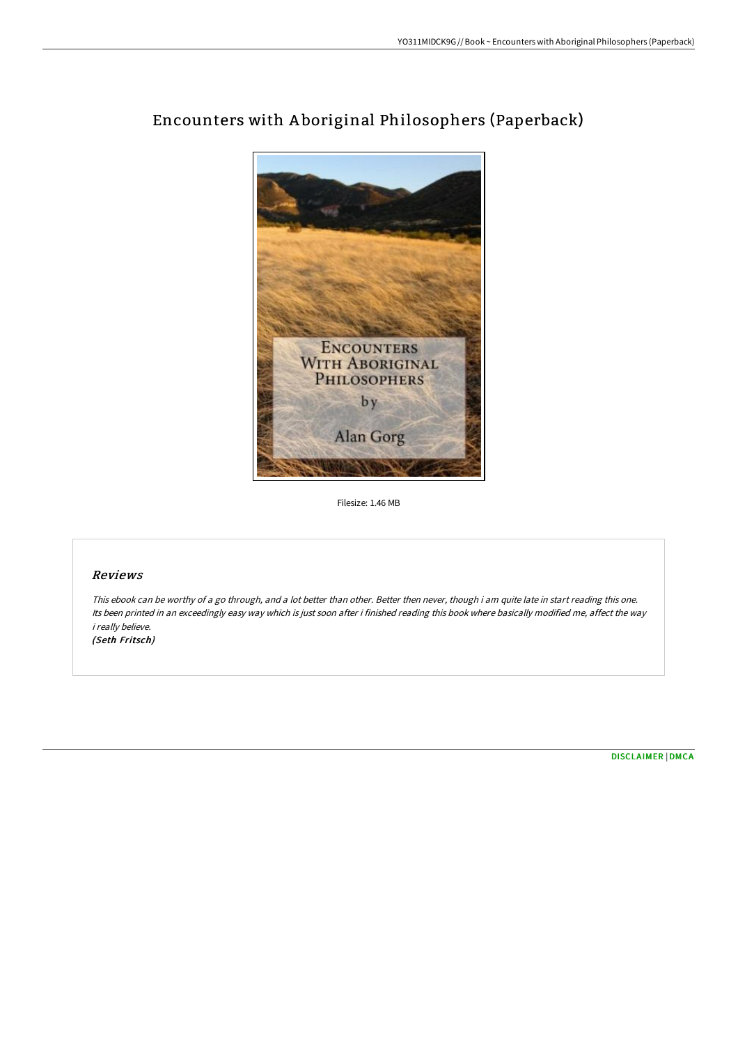

## Encounters with A boriginal Philosophers (Paperback)

Filesize: 1.46 MB

## Reviews

This ebook can be worthy of <sup>a</sup> go through, and <sup>a</sup> lot better than other. Better then never, though i am quite late in start reading this one. Its been printed in an exceedingly easy way which is just soon after i finished reading this book where basically modified me, affect the way i really believe. (Seth Fritsch)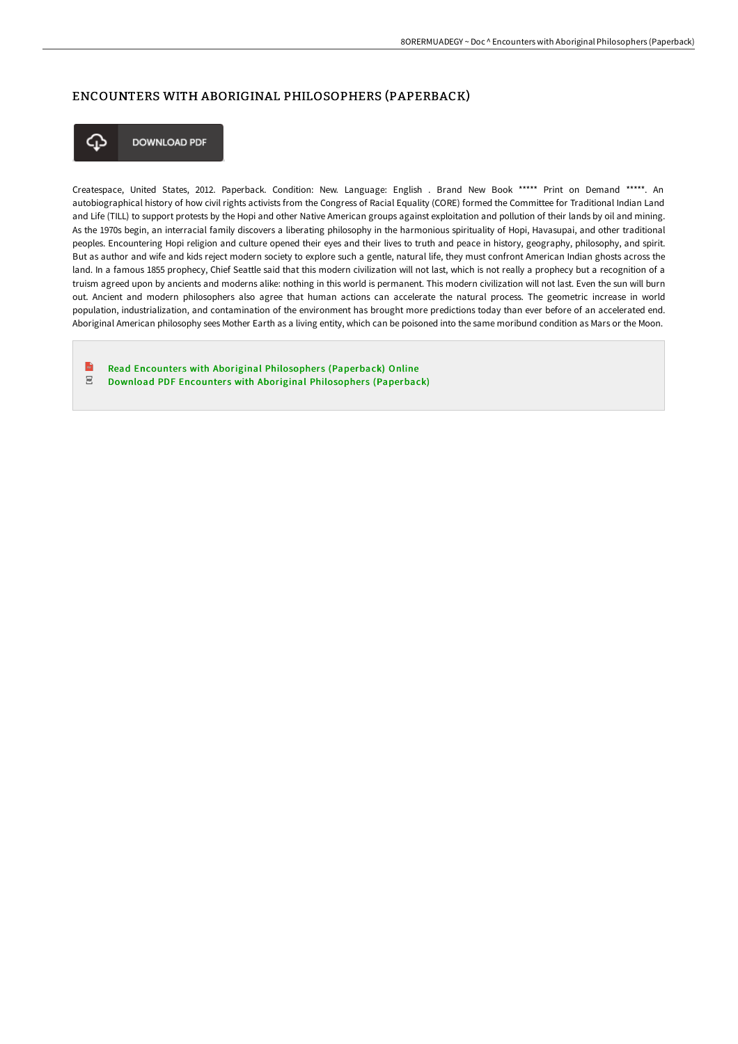## ENCOUNTERS WITH ABORIGINAL PHILOSOPHERS (PAPERBACK)



**DOWNLOAD PDF** 

Createspace, United States, 2012. Paperback. Condition: New. Language: English . Brand New Book \*\*\*\*\* Print on Demand \*\*\*\*\*. An autobiographical history of how civil rights activists from the Congress of Racial Equality (CORE) formed the Committee for Traditional Indian Land and Life (TILL) to support protests by the Hopi and other Native American groups against exploitation and pollution of their lands by oil and mining. As the 1970s begin, an interracial family discovers a liberating philosophy in the harmonious spirituality of Hopi, Havasupai, and other traditional peoples. Encountering Hopi religion and culture opened their eyes and their lives to truth and peace in history, geography, philosophy, and spirit. But as author and wife and kids reject modern society to explore such a gentle, natural life, they must confront American Indian ghosts across the land. In a famous 1855 prophecy, Chief Seattle said that this modern civilization will not last, which is not really a prophecy but a recognition of a truism agreed upon by ancients and moderns alike: nothing in this world is permanent. This modern civilization will not last. Even the sun will burn out. Ancient and modern philosophers also agree that human actions can accelerate the natural process. The geometric increase in world population, industrialization, and contamination of the environment has brought more predictions today than ever before of an accelerated end. Aboriginal American philosophy sees Mother Earth as a living entity, which can be poisoned into the same moribund condition as Mars or the Moon.

 $\mathbb{R}$ Read Encounters with Aboriginal Philosophers [\(Paperback\)](http://albedo.media/encounters-with-aboriginal-philosophers-paperbac.html) Online  $_{\rm{pp}}$ Download PDF Encounters with Aboriginal Philosophers [\(Paperback\)](http://albedo.media/encounters-with-aboriginal-philosophers-paperbac.html)